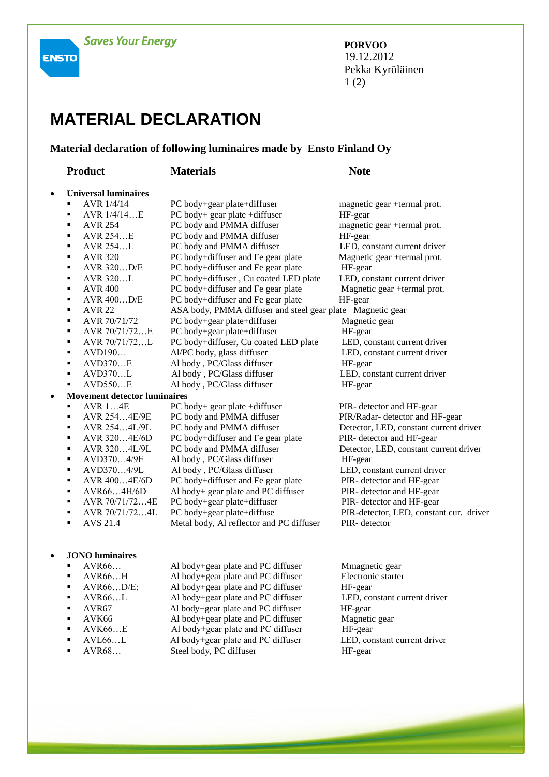**ENSTO** 

**PORVOO** 19.12.2012 Pekka Kyröläinen 1 (2)

## **MATERIAL DECLARATION**

## **Material declaration of following luminaires made by Ensto Finland Oy**

|           | <b>Product</b>                      | <b>Materials</b>                                           | <b>Note</b>                             |  |  |
|-----------|-------------------------------------|------------------------------------------------------------|-----------------------------------------|--|--|
| $\bullet$ | <b>Universal luminaires</b>         |                                                            |                                         |  |  |
|           | AVR 1/4/14<br>$\blacksquare$        | PC body+gear plate+diffuser                                | magnetic gear +termal prot.             |  |  |
|           | AVR $1/4/14E$<br>٠                  | PC body+ gear plate +diffuser                              | HF-gear                                 |  |  |
|           | <b>AVR 254</b><br>$\blacksquare$    | PC body and PMMA diffuser                                  | magnetic gear +termal prot.             |  |  |
|           | AVR 254E<br>$\blacksquare$          | PC body and PMMA diffuser                                  | HF-gear                                 |  |  |
|           | AVR 254L<br>$\blacksquare$          | PC body and PMMA diffuser                                  | LED, constant current driver            |  |  |
|           | <b>AVR 320</b><br>$\blacksquare$    | PC body+diffuser and Fe gear plate                         | Magnetic gear +termal prot.             |  |  |
|           | AVR 320D/E<br>$\blacksquare$        | PC body+diffuser and Fe gear plate                         | HF-gear                                 |  |  |
|           | AVR 320L<br>$\blacksquare$          | PC body+diffuser, Cu coated LED plate                      | LED, constant current driver            |  |  |
|           | <b>AVR 400</b><br>$\blacksquare$    | PC body+diffuser and Fe gear plate                         | Magnetic gear +termal prot.             |  |  |
|           | AVR 400D/E<br>$\blacksquare$        | PC body+diffuser and Fe gear plate                         | HF-gear                                 |  |  |
|           | <b>AVR 22</b><br>٠                  | ASA body, PMMA diffuser and steel gear plate Magnetic gear |                                         |  |  |
|           | AVR 70/71/72<br>٠                   | PC body+gear plate+diffuser                                | Magnetic gear                           |  |  |
|           | AVR 70/71/72E<br>٠                  | PC body+gear plate+diffuser                                | HF-gear                                 |  |  |
|           | AVR 70/71/72L<br>٠                  | PC body+diffuser, Cu coated LED plate                      | LED, constant current driver            |  |  |
|           | AVD190<br>٠                         | Al/PC body, glass diffuser                                 | LED, constant current driver            |  |  |
|           | AVD370E<br>٠                        | Al body, PC/Glass diffuser                                 | HF-gear                                 |  |  |
|           | AVD370L<br>٠                        | Al body, PC/Glass diffuser                                 | LED, constant current driver            |  |  |
|           | AVD550E<br>٠                        | Al body, PC/Glass diffuser                                 | HF-gear                                 |  |  |
| $\bullet$ | <b>Movement detector luminaires</b> |                                                            |                                         |  |  |
|           | <b>AVR 14E</b><br>٠                 | PC body+ gear plate +diffuser                              | PIR- detector and HF-gear               |  |  |
|           | AVR 2544E/9E<br>٠                   | PC body and PMMA diffuser                                  | PIR/Radar- detector and HF-gear         |  |  |
|           | AVR 2544L/9L<br>٠                   | PC body and PMMA diffuser                                  | Detector, LED, constant current driver  |  |  |
|           | AVR 3204E/6D<br>٠                   | PC body+diffuser and Fe gear plate                         | PIR- detector and HF-gear               |  |  |
|           | ٠<br>AVR 3204L/9L                   | PC body and PMMA diffuser                                  | Detector, LED, constant current driver  |  |  |
|           | AVD3704/9E<br>٠                     | Al body, PC/Glass diffuser                                 | HF-gear                                 |  |  |
|           | AVD3704/9L<br>٠                     | Al body, PC/Glass diffuser                                 | LED, constant current driver            |  |  |
|           | AVR 4004E/6D<br>٠                   | PC body+diffuser and Fe gear plate                         | PIR- detector and HF-gear               |  |  |
|           | AVR664H/6D<br>٠                     | Al body+ gear plate and PC diffuser                        | PIR- detector and HF-gear               |  |  |
|           | AVR 70/71/724E<br>٠                 | PC body+gear plate+diffuser                                | PIR- detector and HF-gear               |  |  |
|           | AVR 70/71/724L<br>٠                 | PC body+gear plate+diffuse                                 | PIR-detector, LED, constant cur. driver |  |  |
|           | AVS 21.4<br>٠                       | Metal body, Al reflector and PC diffuser                   | PIR-detector                            |  |  |
| $\bullet$ | <b>JONO</b> luminaires              |                                                            |                                         |  |  |
|           | AVR66<br>٠                          | Al body+gear plate and PC diffuser                         | Mmagnetic gear                          |  |  |
|           |                                     |                                                            |                                         |  |  |

- 
- 
- 
- 
- 
- 
- 
- 

■ AVR66…H Al body+gear plate and PC diffuser Electronic starter ■ AVR66…D/E: Al body+gear plate and PC diffuser HF-gear ■ AVR66…L Al body+gear plate and PC diffuser LED, constant current driver ■ AVR67 Al body+gear plate and PC diffuser HF-gear ■ AVK66 Al body+gear plate and PC diffuser Magnetic gear ■ AVK66…E Al body+gear plate and PC diffuser HF-gear

Steel body, PC diffuser

■ AVL66…L Al body+gear plate and PC diffuser LED, constant current driver<br>■ AVR68… Steel body, PC diffuser HF-gear